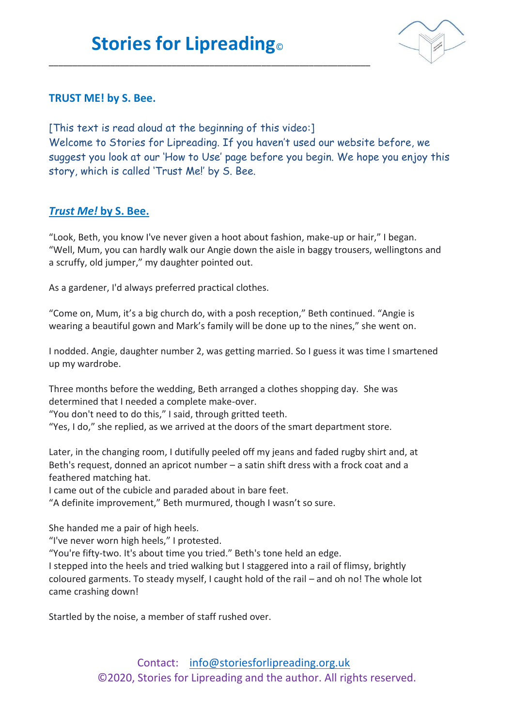\_\_\_\_\_\_\_\_\_\_\_\_\_\_\_\_\_\_\_\_\_\_\_\_\_\_\_\_\_\_\_\_\_\_\_\_\_\_\_\_\_\_\_\_\_\_\_\_\_\_\_\_\_\_\_\_\_\_\_\_\_\_\_\_\_\_\_\_



## **TRUST ME! by S. Bee.**

[This text is read aloud at the beginning of this video:] Welcome to Stories for Lipreading. If you haven't used our website before, we suggest you look at our 'How to Use' page before you begin. We hope you enjoy this story, which is called 'Trust Me!' by S. Bee.

## *Trust Me!* **by S. Bee.**

"Look, Beth, you know I've never given a hoot about fashion, make-up or hair," I began. "Well, Mum, you can hardly walk our Angie down the aisle in baggy trousers, wellingtons and a scruffy, old jumper," my daughter pointed out.

As a gardener, I'd always preferred practical clothes.

"Come on, Mum, it's a big church do, with a posh reception," Beth continued. "Angie is wearing a beautiful gown and Mark's family will be done up to the nines," she went on.

I nodded. Angie, daughter number 2, was getting married. So I guess it was time I smartened up my wardrobe.

Three months before the wedding, Beth arranged a clothes shopping day. She was determined that I needed a complete make-over.

"You don't need to do this," I said, through gritted teeth.

"Yes, I do," she replied, as we arrived at the doors of the smart department store.

Later, in the changing room, I dutifully peeled off my jeans and faded rugby shirt and, at Beth's request, donned an apricot number – a satin shift dress with a frock coat and a feathered matching hat.

I came out of the cubicle and paraded about in bare feet.

"A definite improvement," Beth murmured, though I wasn't so sure.

She handed me a pair of high heels.

"I've never worn high heels," I protested.

"You're fifty-two. It's about time you tried." Beth's tone held an edge.

I stepped into the heels and tried walking but I staggered into a rail of flimsy, brightly coloured garments. To steady myself, I caught hold of the rail – and oh no! The whole lot came crashing down!

Startled by the noise, a member of staff rushed over.